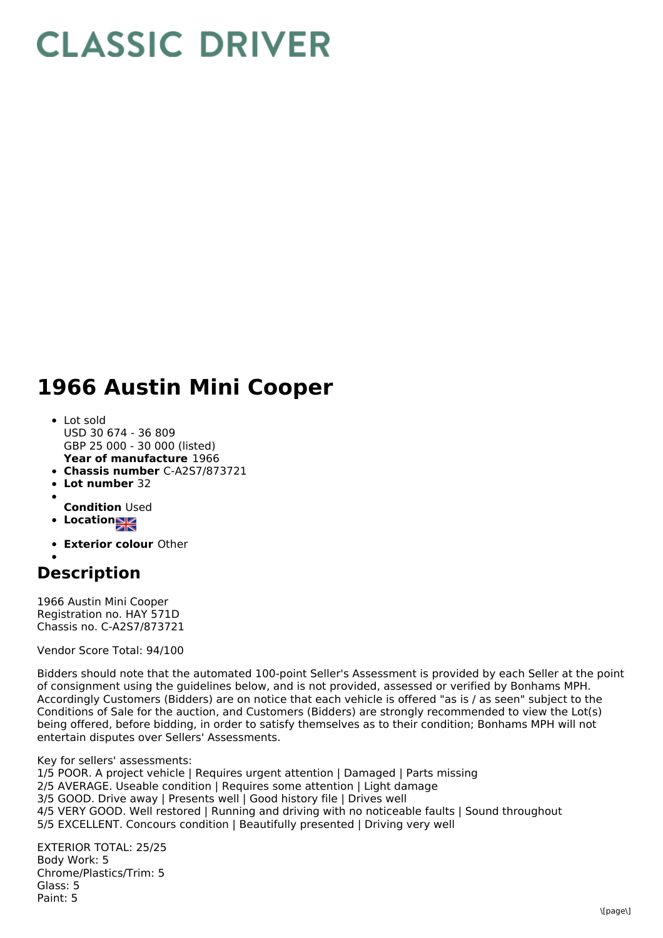## **CLASSIC DRIVER**

## **1966 Austin Mini Cooper**

- **Year of manufacture** 1966 • Lot sold USD 30 674 - 36 809 GBP 25 000 - 30 000 (listed)
- **Chassis number** C-A2S7/873721
- **Lot number** 32
- **Condition** Used
- **Location**
- **Exterior colour** Other
- 

## **Description**

1966 Austin Mini Cooper Registration no. HAY 571D Chassis no. C-A2S7/873721

Vendor Score Total: 94/100

Bidders should note that the automated 100-point Seller's Assessment is provided by each Seller at the point of consignment using the guidelines below, and is not provided, assessed or verified by Bonhams MPH. Accordingly Customers (Bidders) are on notice that each vehicle is offered "as is / as seen" subject to the Conditions of Sale for the auction, and Customers (Bidders) are strongly recommended to view the Lot(s) being offered, before bidding, in order to satisfy themselves as to their condition; Bonhams MPH will not entertain disputes over Sellers' Assessments.

Key for sellers' assessments:

1/5 POOR. A project vehicle | Requires urgent attention | Damaged | Parts missing 2/5 AVERAGE. Useable condition | Requires some attention | Light damage 3/5 GOOD. Drive away | Presents well | Good history file | Drives well 4/5 VERY GOOD. Well restored | Running and driving with no noticeable faults | Sound throughout 5/5 EXCELLENT. Concours condition | Beautifully presented | Driving very well

EXTERIOR TOTAL: 25/25 Body Work: 5 Chrome/Plastics/Trim: 5 Glass: 5 Paint: 5